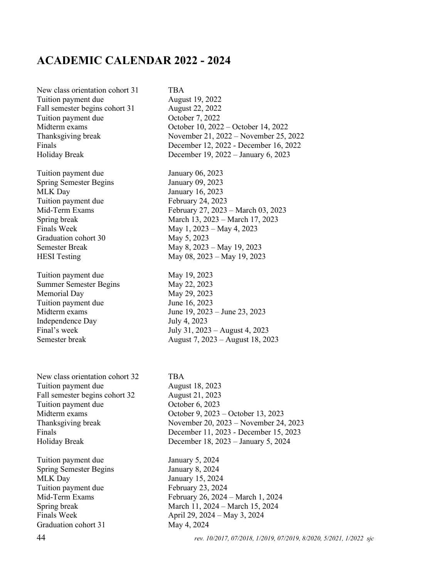## **ACADEMIC CALENDAR 2022 - 2024**

New class orientation cohort 31 TBA Tuition payment due August 19, 2022 Fall semester begins cohort 31 August 22, 2022 Tuition payment due<br>
October 7, 2022<br>
October 10, 2022

Tuition payment due January 06, 2023 Spring Semester Begins January 09, 2023 MLK Day January 16, 2023 Tuition payment due<br>February 24, 2023 Graduation cohort 30 May 5, 2023

Tuition payment due May 19, 2023 Summer Semester Begins May 22, 2023 Memorial Day May 29, 2023 Tuition payment due June 16, 2023 Independence Day July 4, 2023

New class orientation cohort 32 TBA Tuition payment due August 18, 2023 Fall semester begins cohort 32 August 21, 2023 Tuition payment due  $\qquad \qquad$  October 6, 2023

Tuition payment due January 5, 2024 Spring Semester Begins January 8, 2024 MLK Day January 15, 2024 Tuition payment due February 23, 2024 Graduation cohort 31 May 4, 2024

October 10, 2022 – October 14, 2022 Thanksgiving break November 21, 2022 – November 25, 2022 Finals December 12, 2022 - December 16, 2022 Holiday Break December 19, 2022 – January 6, 2023 Mid-Term Exams February 27, 2023 – March 03, 2023 Spring break March 13, 2023 – March 17, 2023 Finals Week May 1, 2023 – May 4, 2023 Semester Break May 8, 2023 – May 19, 2023 HESI Testing May 08, 2023 – May 19, 2023

Midterm exams June 19, 2023 – June 23, 2023 Final's week July 31, 2023 – August 4, 2023 Semester break August 7, 2023 – August 18, 2023

Midterm exams October 9, 2023 – October 13, 2023 Thanksgiving break November 20, 2023 – November 24, 2023 Finals December 11, 2023 - December 15, 2023 Holiday Break December 18, 2023 – January 5, 2024 Mid-Term Exams February 26, 2024 – March 1, 2024 Spring break March 11, 2024 – March 15, 2024 Finals Week April 29, 2024 – May 3, 2024